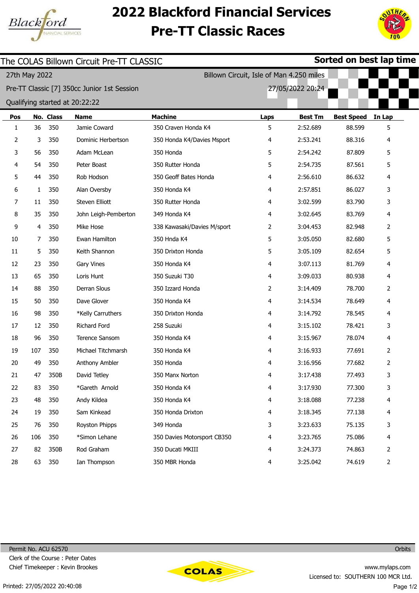

## 2022 Blackford Financial Services Pre-TT Classic Races



| Sorted on best lap time<br>The COLAS Billown Circuit Pre-TT CLASSIC |     |           |                                             |                             |      |                  |                   |                |  |  |
|---------------------------------------------------------------------|-----|-----------|---------------------------------------------|-----------------------------|------|------------------|-------------------|----------------|--|--|
| 27th May 2022                                                       |     |           |                                             |                             |      |                  |                   |                |  |  |
|                                                                     |     |           | Pre-TT Classic [7] 350cc Junior 1st Session |                             |      | 27/05/2022 20:24 |                   |                |  |  |
| Qualifying started at 20:22:22                                      |     |           |                                             |                             |      |                  |                   |                |  |  |
| Pos                                                                 |     | No. Class | <b>Name</b>                                 | <b>Machine</b>              | Laps | <b>Best Tm</b>   | <b>Best Speed</b> | In Lap         |  |  |
| 1                                                                   | 36  | 350       | Jamie Coward                                | 350 Craven Honda K4         | 5    | 2:52.689         | 88.599            | 5              |  |  |
| 2                                                                   | 3   | 350       | Dominic Herbertson                          | 350 Honda K4/Davies Msport  | 4    | 2:53.241         | 88.316            | 4              |  |  |
| 3                                                                   | 56  | 350       | Adam McLean                                 | 350 Honda                   | 5    | 2:54.242         | 87.809            | 5              |  |  |
| 4                                                                   | 54  | 350       | Peter Boast                                 | 350 Rutter Honda            | 5    | 2:54.735         | 87.561            | 5              |  |  |
| 5                                                                   | 44  | 350       | Rob Hodson                                  | 350 Geoff Bates Honda       | 4    | 2:56.610         | 86.632            | 4              |  |  |
| 6                                                                   | 1   | 350       | Alan Oversby                                | 350 Honda K4                | 4    | 2:57.851         | 86.027            | 3              |  |  |
| 7                                                                   | 11  | 350       | Steven Elliott                              | 350 Rutter Honda            | 4    | 3:02.599         | 83.790            | 3              |  |  |
| 8                                                                   | 35  | 350       | John Leigh-Pemberton                        | 349 Honda K4                | 4    | 3:02.645         | 83.769            | 4              |  |  |
| 9                                                                   | 4   | 350       | Mike Hose                                   | 338 Kawasaki/Davies M/sport | 2    | 3:04.453         | 82.948            | 2              |  |  |
| 10                                                                  | 7   | 350       | Ewan Hamilton                               | 350 Hnda K4                 | 5    | 3:05.050         | 82.680            | 5              |  |  |
| 11                                                                  | 5   | 350       | Keith Shannon                               | 350 Drixton Honda           | 5    | 3:05.109         | 82.654            | 5              |  |  |
| 12                                                                  | 23  | 350       | Gary Vines                                  | 350 Honda K4                | 4    | 3:07.113         | 81.769            | 4              |  |  |
| 13                                                                  | 65  | 350       | Loris Hunt                                  | 350 Suzuki T30              | 4    | 3:09.033         | 80.938            | 4              |  |  |
| 14                                                                  | 88  | 350       | Derran Slous                                | 350 Izzard Honda            | 2    | 3:14.409         | 78.700            | 2              |  |  |
| 15                                                                  | 50  | 350       | Dave Glover                                 | 350 Honda K4                | 4    | 3:14.534         | 78.649            | 4              |  |  |
| 16                                                                  | 98  | 350       | *Kelly Carruthers                           | 350 Drixton Honda           | 4    | 3:14.792         | 78.545            | 4              |  |  |
| 17                                                                  | 12  | 350       | Richard Ford                                | 258 Suzuki                  | 4    | 3:15.102         | 78.421            | 3              |  |  |
| 18                                                                  | 96  | 350       | Terence Sansom                              | 350 Honda K4                | 4    | 3:15.967         | 78.074            | 4              |  |  |
| 19                                                                  | 107 | 350       | Michael Titchmarsh                          | 350 Honda K4                | 4    | 3:16.933         | 77.691            | 2              |  |  |
| 20                                                                  | 49  | 350       | Anthony Ambler                              | 350 Honda                   | 4    | 3:16.956         | 77.682            | $\overline{2}$ |  |  |
| 21                                                                  | 47  | 350B      | David Tetley                                | 350 Manx Norton             | 4    | 3:17.438         | 77.493            | 3              |  |  |
| 22                                                                  | 83  | 350       | *Gareth Arnold                              | 350 Honda K4                | 4    | 3:17.930         | 77.300            | 3              |  |  |
| 23                                                                  | 48  | 350       | Andy Kildea                                 | 350 Honda K4                | 4    | 3:18.088         | 77.238            | 4              |  |  |
| 24                                                                  | 19  | 350       | Sam Kinkead                                 | 350 Honda Drixton           | 4    | 3:18.345         | 77.138            | 4              |  |  |
| 25                                                                  | 76  | 350       | Royston Phipps                              | 349 Honda                   | 3    | 3:23.633         | 75.135            | 3              |  |  |
| 26                                                                  | 106 | 350       | *Simon Lehane                               | 350 Davies Motorsport CB350 | 4    | 3:23.765         | 75.086            | 4              |  |  |
| 27                                                                  | 82  | 350B      | Rod Graham                                  | 350 Ducati MKIII            | 4    | 3:24.373         | 74.863            | 2              |  |  |
| 28                                                                  | 63  | 350       | Ian Thompson                                | 350 MBR Honda               | 4    | 3:25.042         | 74.619            | $\overline{2}$ |  |  |



**Orbits**